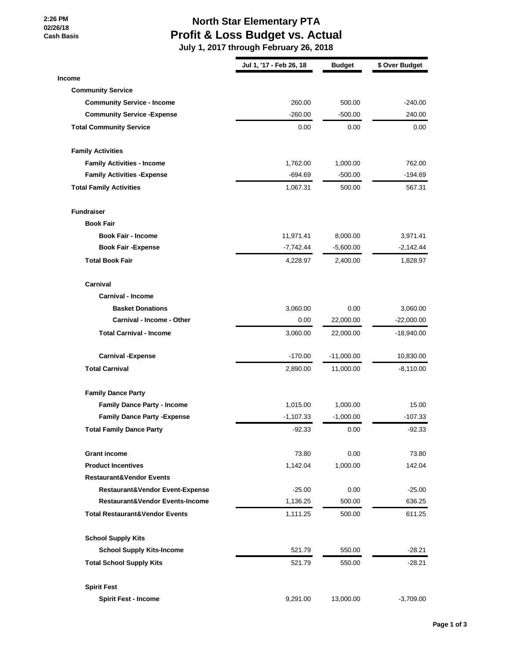**2:26 PM 02/26/18 Cash Basis**

## **North Star Elementary PTA Profit & Loss Budget vs. Actual**

 **July 1, 2017 through February 26, 2018**

|                                           | Jul 1, '17 - Feb 26, 18 | <b>Budget</b> | \$ Over Budget |
|-------------------------------------------|-------------------------|---------------|----------------|
| <b>Income</b>                             |                         |               |                |
| <b>Community Service</b>                  |                         |               |                |
| <b>Community Service - Income</b>         | 260.00                  | 500.00        | $-240.00$      |
| <b>Community Service - Expense</b>        | $-260.00$               | $-500.00$     | 240.00         |
| <b>Total Community Service</b>            | 0.00                    | 0.00          | 0.00           |
| <b>Family Activities</b>                  |                         |               |                |
| <b>Family Activities - Income</b>         | 1,762.00                | 1,000.00      | 762.00         |
| <b>Family Activities - Expense</b>        | $-694.69$               | $-500.00$     | $-194.69$      |
| <b>Total Family Activities</b>            | 1,067.31                | 500.00        | 567.31         |
| <b>Fundraiser</b>                         |                         |               |                |
| <b>Book Fair</b>                          |                         |               |                |
| <b>Book Fair - Income</b>                 | 11,971.41               | 8,000.00      | 3,971.41       |
| <b>Book Fair - Expense</b>                | $-7,742.44$             | $-5,600.00$   | $-2,142.44$    |
| <b>Total Book Fair</b>                    | 4,228.97                | 2,400.00      | 1,828.97       |
| Carnival                                  |                         |               |                |
| <b>Carnival - Income</b>                  |                         |               |                |
| <b>Basket Donations</b>                   | 3,060.00                | 0.00          | 3,060.00       |
| Carnival - Income - Other                 | 0.00                    | 22,000.00     | $-22,000.00$   |
| <b>Total Carnival - Income</b>            | 3,060.00                | 22,000.00     | $-18,940.00$   |
| <b>Carnival -Expense</b>                  | $-170.00$               | $-11,000.00$  | 10,830.00      |
| <b>Total Carnival</b>                     | 2,890.00                | 11,000.00     | $-8,110.00$    |
| <b>Family Dance Party</b>                 |                         |               |                |
| <b>Family Dance Party - Income</b>        | 1,015.00                | 1,000.00      | 15.00          |
| <b>Family Dance Party - Expense</b>       | $-1,107.33$             | $-1,000.00$   | $-107.33$      |
| <b>Total Family Dance Party</b>           | $-92.33$                | 0.00          | -92.33         |
| <b>Grant income</b>                       | 73.80                   | 0.00          | 73.80          |
| <b>Product Incentives</b>                 | 1,142.04                | 1,000.00      | 142.04         |
| <b>Restaurant&amp;Vendor Events</b>       |                         |               |                |
| Restaurant&Vendor Event-Expense           | $-25.00$                | 0.00          | $-25.00$       |
| Restaurant&Vendor Events-Income           | 1,136.25                | 500.00        | 636.25         |
| <b>Total Restaurant&amp;Vendor Events</b> | 1,111.25                | 500.00        | 611.25         |
| <b>School Supply Kits</b>                 |                         |               |                |
| <b>School Supply Kits-Income</b>          | 521.79                  | 550.00        | $-28.21$       |
| <b>Total School Supply Kits</b>           | 521.79                  | 550.00        | $-28.21$       |
|                                           |                         |               |                |
| <b>Spirit Fest</b>                        |                         |               |                |
| <b>Spirit Fest - Income</b>               | 9,291.00                | 13,000.00     | $-3,709.00$    |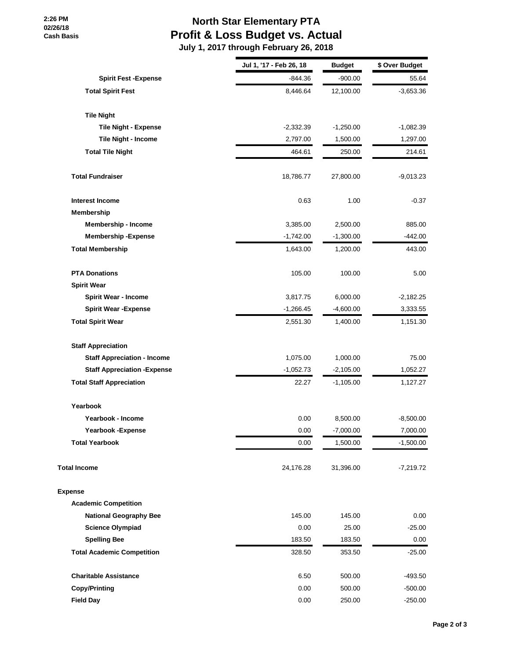**2:26 PM 02/26/18 Cash Basis**

## **North Star Elementary PTA Profit & Loss Budget vs. Actual**

 **July 1, 2017 through February 26, 2018**

|                                     | Jul 1, '17 - Feb 26, 18 | <b>Budget</b> | \$ Over Budget |
|-------------------------------------|-------------------------|---------------|----------------|
| <b>Spirit Fest -Expense</b>         | -844.36                 | $-900.00$     | 55.64          |
| <b>Total Spirit Fest</b>            | 8,446.64                | 12,100.00     | $-3,653.36$    |
| <b>Tile Night</b>                   |                         |               |                |
| <b>Tile Night - Expense</b>         | $-2,332.39$             | $-1,250.00$   | $-1,082.39$    |
| Tile Night - Income                 | 2,797.00                | 1,500.00      | 1,297.00       |
| <b>Total Tile Night</b>             | 464.61                  | 250.00        | 214.61         |
| <b>Total Fundraiser</b>             | 18,786.77               | 27,800.00     | $-9,013.23$    |
| <b>Interest Income</b>              | 0.63                    | 1.00          | $-0.37$        |
| Membership                          |                         |               |                |
| <b>Membership - Income</b>          | 3,385.00                | 2,500.00      | 885.00         |
| <b>Membership-Expense</b>           | $-1,742.00$             | $-1,300.00$   | $-442.00$      |
| <b>Total Membership</b>             | 1,643.00                | 1,200.00      | 443.00         |
| <b>PTA Donations</b>                | 105.00                  | 100.00        | 5.00           |
| <b>Spirit Wear</b>                  |                         |               |                |
| <b>Spirit Wear - Income</b>         | 3,817.75                | 6,000.00      | $-2,182.25$    |
| <b>Spirit Wear - Expense</b>        | $-1,266.45$             | $-4,600.00$   | 3,333.55       |
| <b>Total Spirit Wear</b>            | 2,551.30                | 1,400.00      | 1,151.30       |
| <b>Staff Appreciation</b>           |                         |               |                |
| <b>Staff Appreciation - Income</b>  | 1,075.00                | 1,000.00      | 75.00          |
| <b>Staff Appreciation - Expense</b> | $-1,052.73$             | $-2,105.00$   | 1,052.27       |
| <b>Total Staff Appreciation</b>     | 22.27                   | $-1,105.00$   | 1,127.27       |
| Yearbook                            |                         |               |                |
| Yearbook - Income                   | 0.00                    | 8,500.00      | $-8,500.00$    |
| Yearbook - Expense                  | 0.00                    | $-7,000.00$   | 7,000.00       |
| <b>Total Yearbook</b>               | 0.00                    | 1,500.00      | $-1,500.00$    |
| <b>Total Income</b>                 | 24,176.28               | 31,396.00     | $-7,219.72$    |
| <b>Expense</b>                      |                         |               |                |
| <b>Academic Competition</b>         |                         |               |                |
| <b>National Geography Bee</b>       | 145.00                  | 145.00        | 0.00           |
| <b>Science Olympiad</b>             | 0.00                    | 25.00         | $-25.00$       |
| <b>Spelling Bee</b>                 | 183.50                  | 183.50        | 0.00           |
| <b>Total Academic Competition</b>   | 328.50                  | 353.50        | $-25.00$       |
| <b>Charitable Assistance</b>        | 6.50                    | 500.00        | $-493.50$      |
| <b>Copy/Printing</b>                | 0.00                    | 500.00        | $-500.00$      |
| <b>Field Day</b>                    | 0.00                    | 250.00        | $-250.00$      |